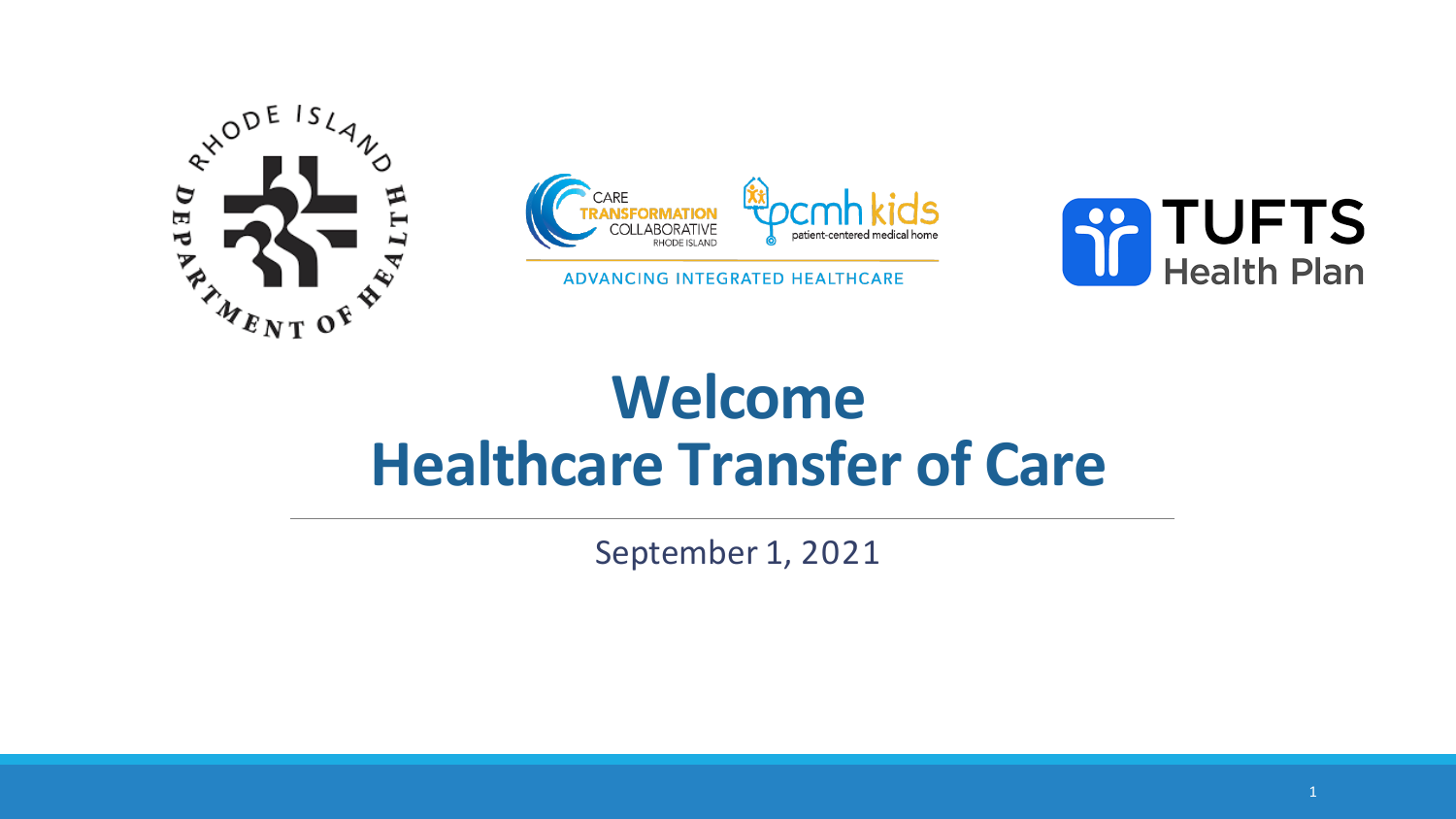



ADVANCING INTEGRATED HEALTHCARE



## **Welcome Healthcare Transfer of Care**

September 1, 2021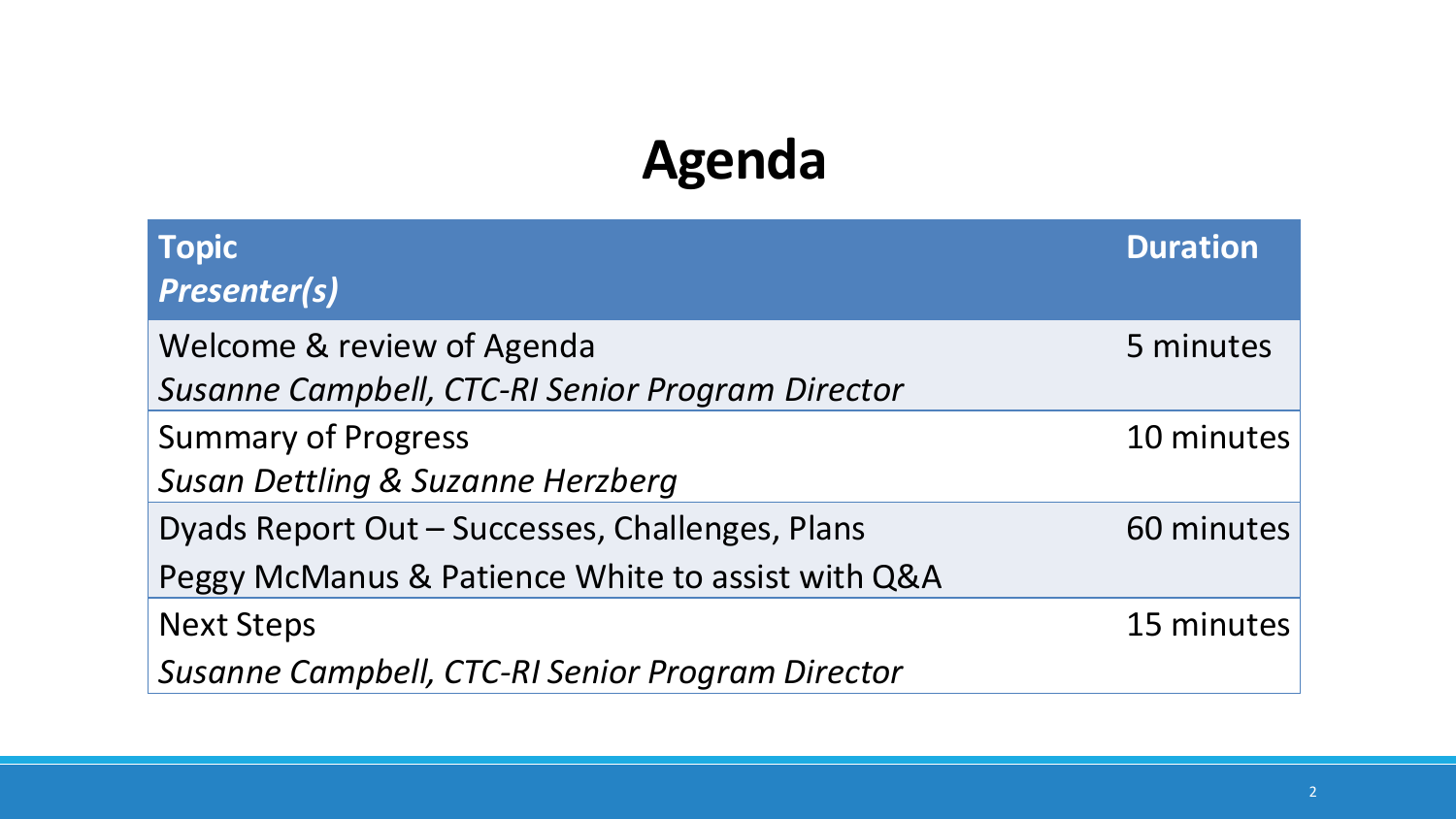## **Agenda**

| <b>Topic</b><br><b>Presenter(s)</b>                                                                  | <b>Duration</b> |
|------------------------------------------------------------------------------------------------------|-----------------|
| Welcome & review of Agenda<br>Susanne Campbell, CTC-RI Senior Program Director                       | 5 minutes       |
| <b>Summary of Progress</b><br>Susan Dettling & Suzanne Herzberg                                      | 10 minutes      |
| Dyads Report Out - Successes, Challenges, Plans<br>Peggy McManus & Patience White to assist with Q&A | 60 minutes      |
| <b>Next Steps</b><br>Susanne Campbell, CTC-RI Senior Program Director                                | 15 minutes      |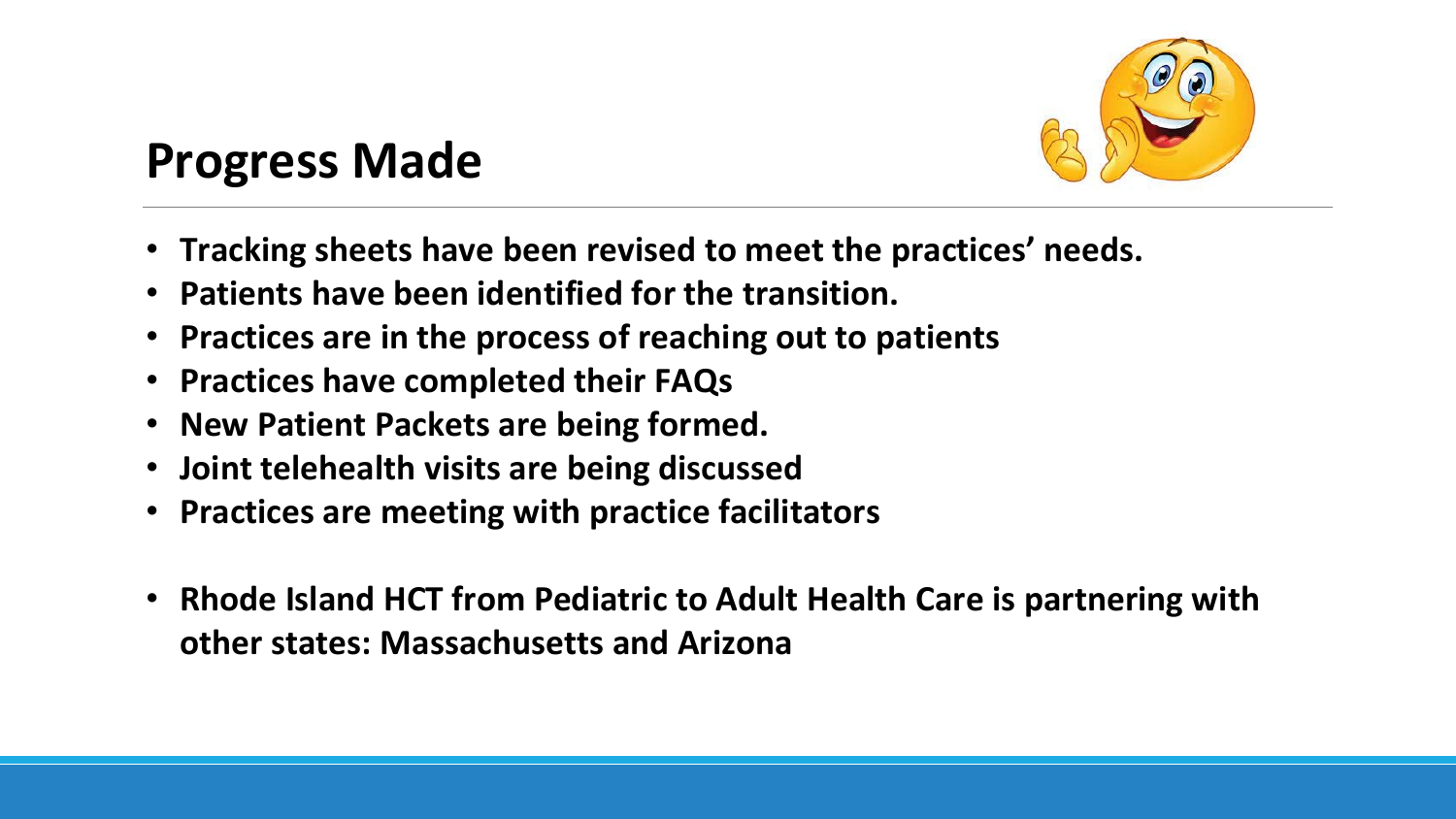

## **Progress Made**

- **Tracking sheets have been revised to meet the practices' needs.**
- **Patients have been identified for the transition.**
- **Practices are in the process of reaching out to patients**
- **Practices have completed their FAQs**
- **New Patient Packets are being formed.**
- **Joint telehealth visits are being discussed**
- **Practices are meeting with practice facilitators**
- **Rhode Island HCT from Pediatric to Adult Health Care is partnering with other states: Massachusetts and Arizona**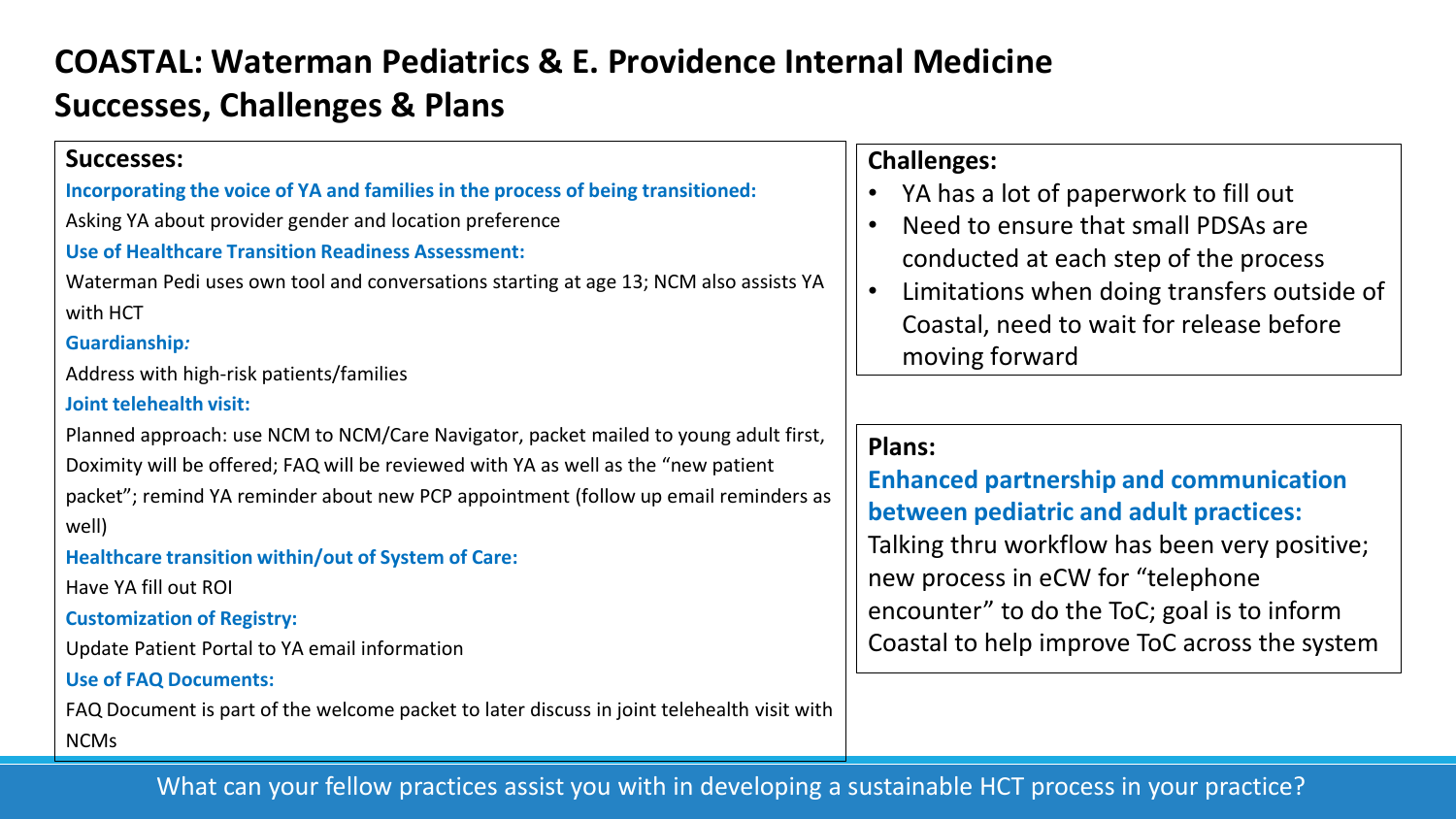### **COASTAL: Waterman Pediatrics & E. Providence Internal Medicine Successes, Challenges & Plans**

| <b>Successes:</b>                                                                          | Ch  |
|--------------------------------------------------------------------------------------------|-----|
| Incorporating the voice of YA and families in the process of being transitioned:           |     |
| Asking YA about provider gender and location preference                                    |     |
| <b>Use of Healthcare Transition Readiness Assessment:</b>                                  |     |
| Waterman Pedi uses own tool and conversations starting at age 13; NCM also assists YA      |     |
| with HCT                                                                                   |     |
| <b>Guardianship:</b>                                                                       |     |
| Address with high-risk patients/families                                                   |     |
| <b>Joint telehealth visit:</b>                                                             |     |
| Planned approach: use NCM to NCM/Care Navigator, packet mailed to young adult first,       | Pla |
| Doximity will be offered; FAQ will be reviewed with YA as well as the "new patient         | En  |
| packet"; remind YA reminder about new PCP appointment (follow up email reminders as        |     |
| well)                                                                                      | be  |
| Healthcare transition within/out of System of Care:                                        | Tal |
| Have YA fill out ROI                                                                       | ne  |
| <b>Customization of Registry:</b>                                                          | en  |
| Update Patient Portal to YA email information                                              | Co  |
| <b>Use of FAQ Documents:</b>                                                               |     |
| FAQ Document is part of the welcome packet to later discuss in joint telehealth visit with |     |
| <b>NCMs</b>                                                                                |     |

#### **Challenges:**

- YA has a lot of paperwork to fill out
- Need to ensure that small PDSAs are conducted at each step of the process
- Limitations when doing transfers outside of Coastal, need to wait for release before moving forward

#### **Plans:**

**Enhanced partnership and communication between pediatric and adult practices:** Iking thru workflow has been very positive; w process in eCW for "telephone icounter" to do the ToC; goal is to inform astal to help improve ToC across the system

#### What can your fellow practices assist you with in developing a sustainable HCT process in your practice?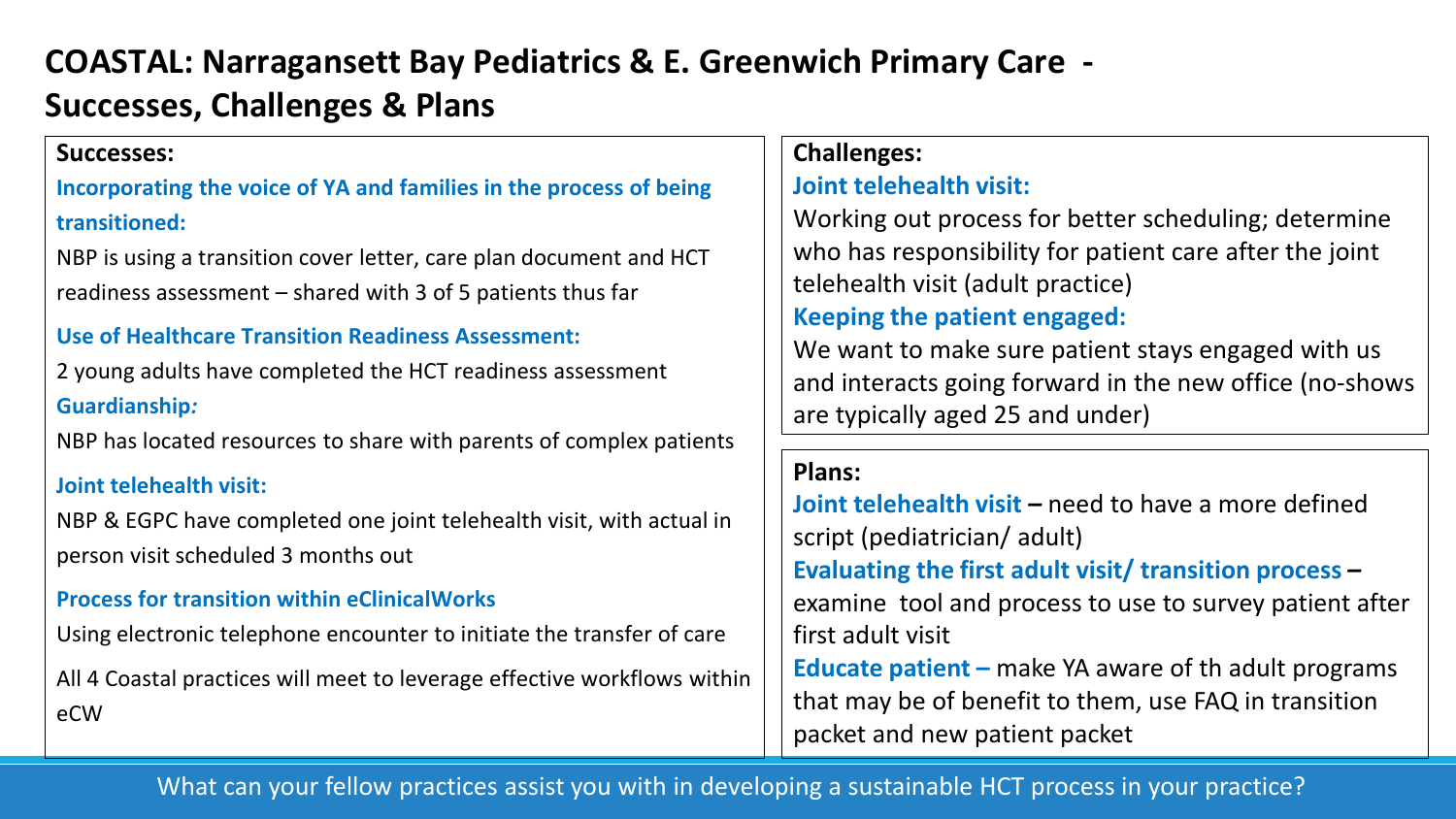### **COASTAL: Narragansett Bay Pediatrics & E. Greenwich Primary Care - Successes, Challenges & Plans**

#### **Successes:**

### **Incorporating the voice of YA and families in the process of being transitioned:**

NBP is using a transition cover letter, care plan document and HCT readiness assessment – shared with 3 of 5 patients thus far

#### **Use of Healthcare Transition Readiness Assessment:**

2 young adults have completed the HCT readiness assessment **Guardianship***:*

NBP has located resources to share with parents of complex patients

#### **Joint telehealth visit:**

NBP & EGPC have completed one joint telehealth visit, with actual in person visit scheduled 3 months out

#### **Process for transition within eClinicalWorks**

Using electronic telephone encounter to initiate the transfer of care

All 4 Coastal practices will meet to leverage effective workflows within eCW

#### **Challenges:**

#### **Joint telehealth visit:**

Working out process for better scheduling; determine who has responsibility for patient care after the joint telehealth visit (adult practice) **Keeping the patient engaged:** 

We want to make sure patient stays engaged with us and interacts going forward in the new office (no-shows are typically aged 25 and under)

#### **Plans:**

**Joint telehealth visit – need to have a more defined** script (pediatrician/ adult) **Evaluating the first adult visit/ transition process** *–* examine tool and process to use to survey patient after first adult visit **Educate patient –** make YA aware of th adult programs that may be of benefit to them, use FAQ in transition packet and new patient packet

#### What can your fellow practices assist you with in developing a sustainable HCT process in your practice?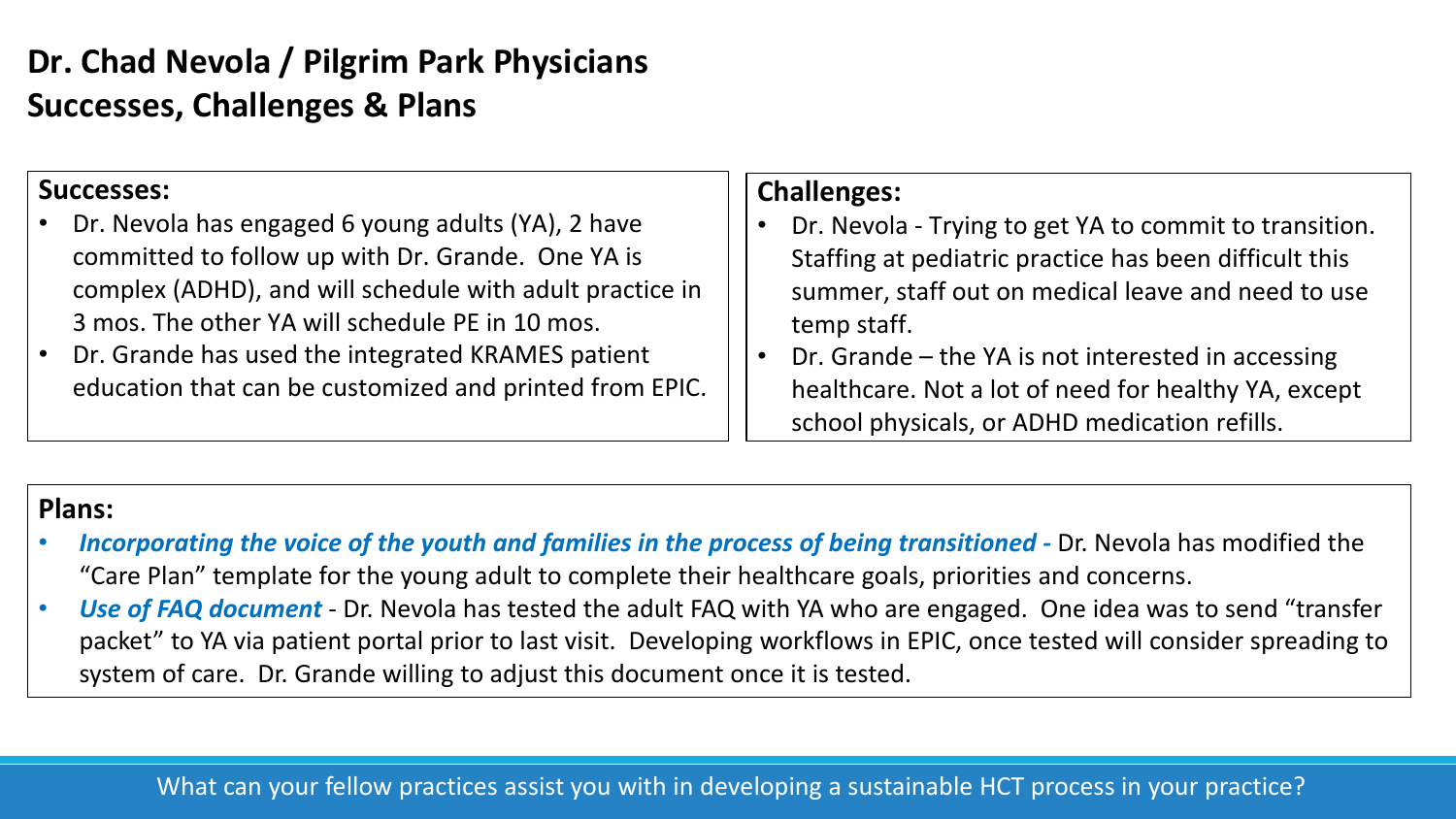## **Dr. Chad Nevola / Pilgrim Park Physicians Successes, Challenges & Plans**

#### **Successes:**

- Dr. Nevola has engaged 6 young adults (YA), 2 have committed to follow up with Dr. Grande. One YA is complex (ADHD), and will schedule with adult practice in 3 mos. The other YA will schedule PE in 10 mos.
- Dr. Grande has used the integrated KRAMES patient education that can be customized and printed from EPIC.

#### **Challenges:**

- Dr. Nevola Trying to get YA to commit to transition. Staffing at pediatric practice has been difficult this summer, staff out on medical leave and need to use temp staff.
- Dr. Grande the YA is not interested in accessing healthcare. Not a lot of need for healthy YA, except school physicals, or ADHD medication refills.

#### **Plans:**

- *Incorporating the voice of the youth and families in the process of being transitioned -* Dr. Nevola has modified the "Care Plan" template for the young adult to complete their healthcare goals, priorities and concerns.
- *Use of FAQ document*  Dr. Nevola has tested the adult FAQ with YA who are engaged. One idea was to send "transfer packet" to YA via patient portal prior to last visit. Developing workflows in EPIC, once tested will consider spreading to system of care. Dr. Grande willing to adjust this document once it is tested.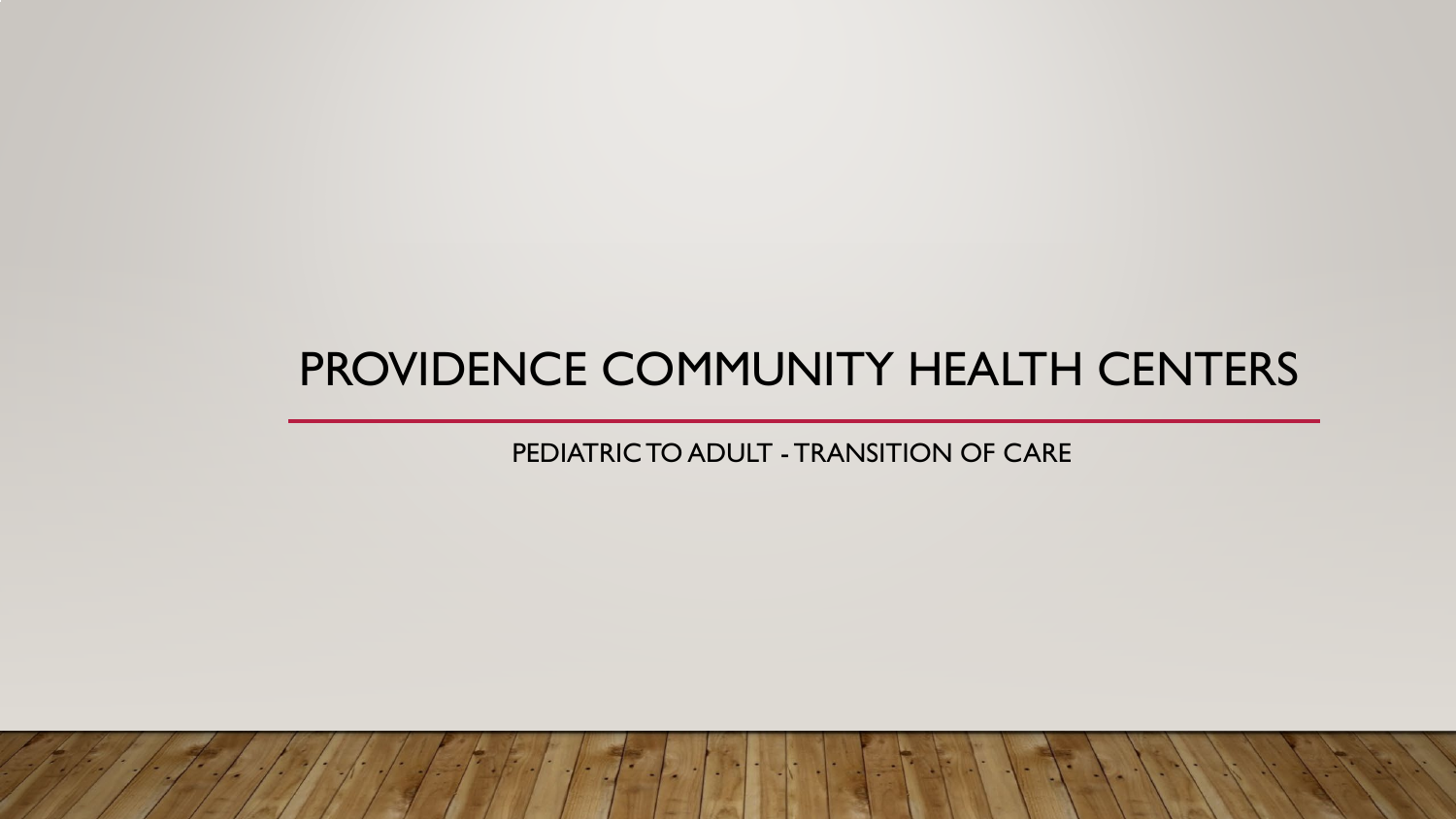## PROVIDENCE COMMUNITY HEALTH CENTERS

PEDIATRIC TO ADULT - TRANSITION OF CARE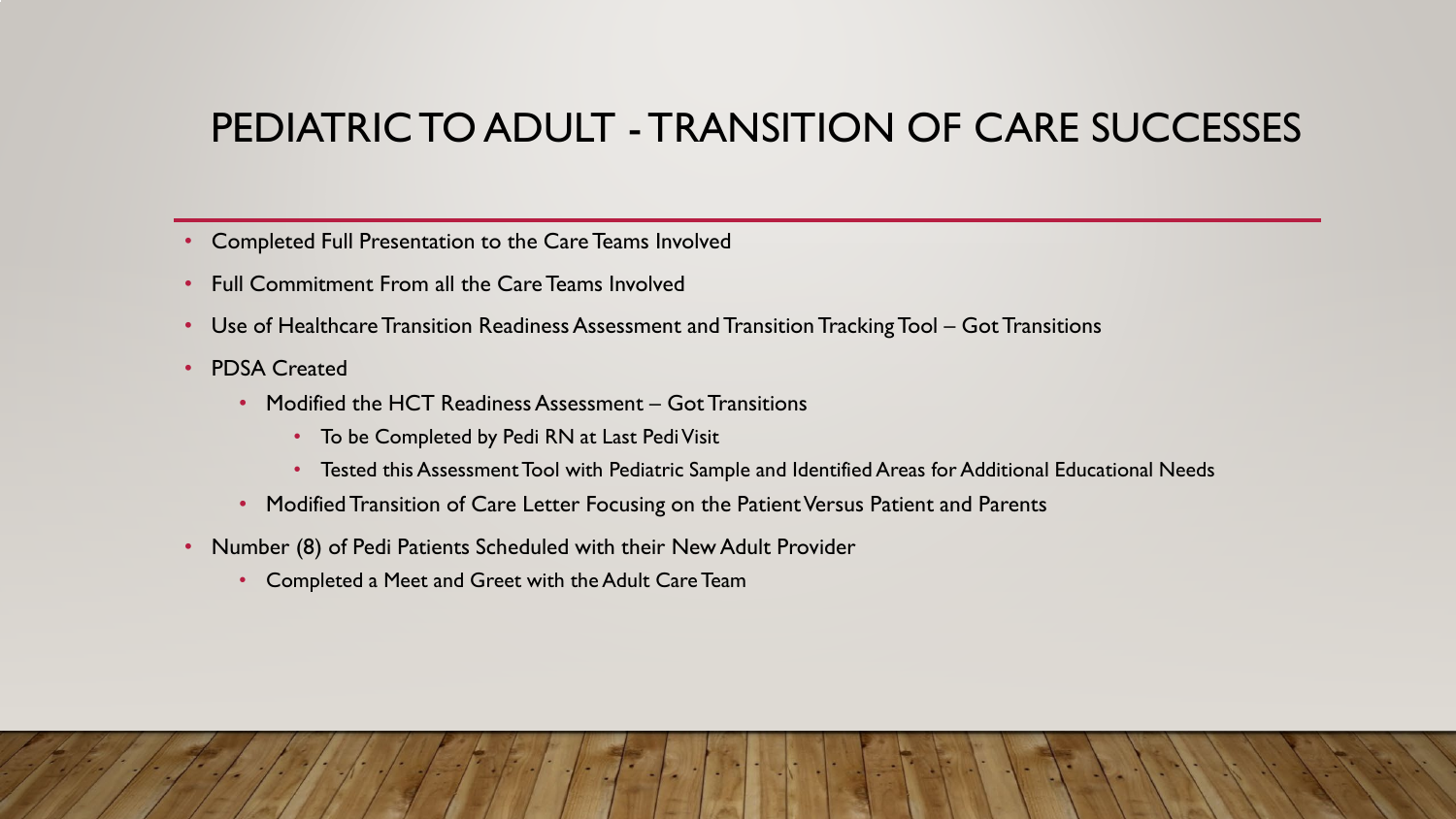## PEDIATRIC TO ADULT - TRANSITION OF CARE SUCCESSES

- Completed Full Presentation to the Care Teams Involved
- Full Commitment From all the Care Teams Involved
- Use of Healthcare Transition Readiness Assessment and Transition Tracking Tool Got Transitions
- PDSA Created
	- Modified the HCT Readiness Assessment Got Transitions
		- To be Completed by Pedi RN at Last Pedi Visit
		- Tested this Assessment Tool with Pediatric Sample and Identified Areas for Additional Educational Needs
	- Modified Transition of Care Letter Focusing on the Patient Versus Patient and Parents
- Number (8) of Pedi Patients Scheduled with their New Adult Provider
	- Completed a Meet and Greet with the Adult Care Team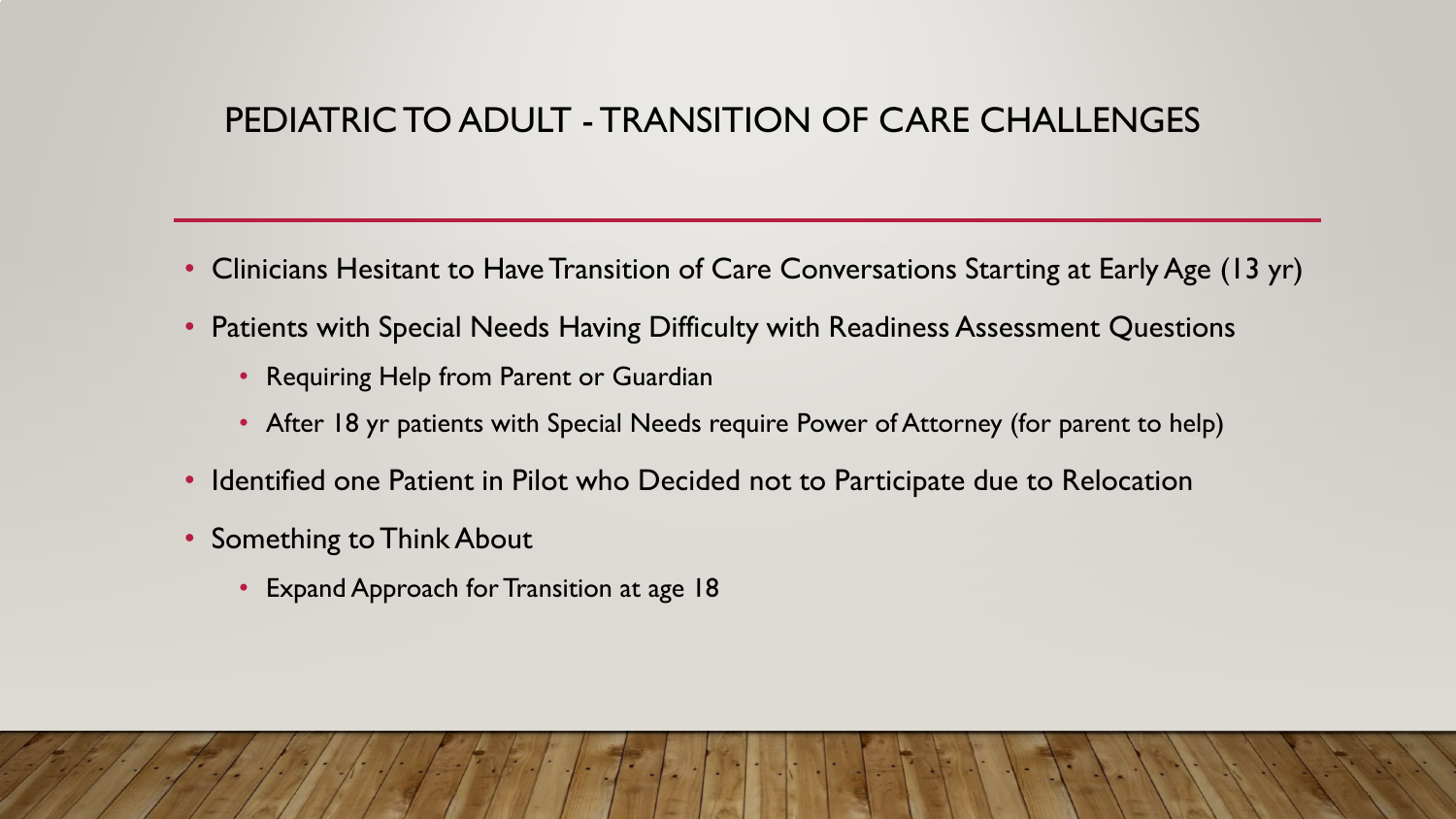### PEDIATRIC TO ADULT - TRANSITION OF CARE CHALLENGES

- Clinicians Hesitant to Have Transition of Care Conversations Starting at Early Age (13 yr)
- Patients with Special Needs Having Difficulty with Readiness Assessment Questions
	- Requiring Help from Parent or Guardian
	- After 18 yr patients with Special Needs require Power of Attorney (for parent to help)
- Identified one Patient in Pilot who Decided not to Participate due to Relocation
- Something to Think About
	- Expand Approach for Transition at age 18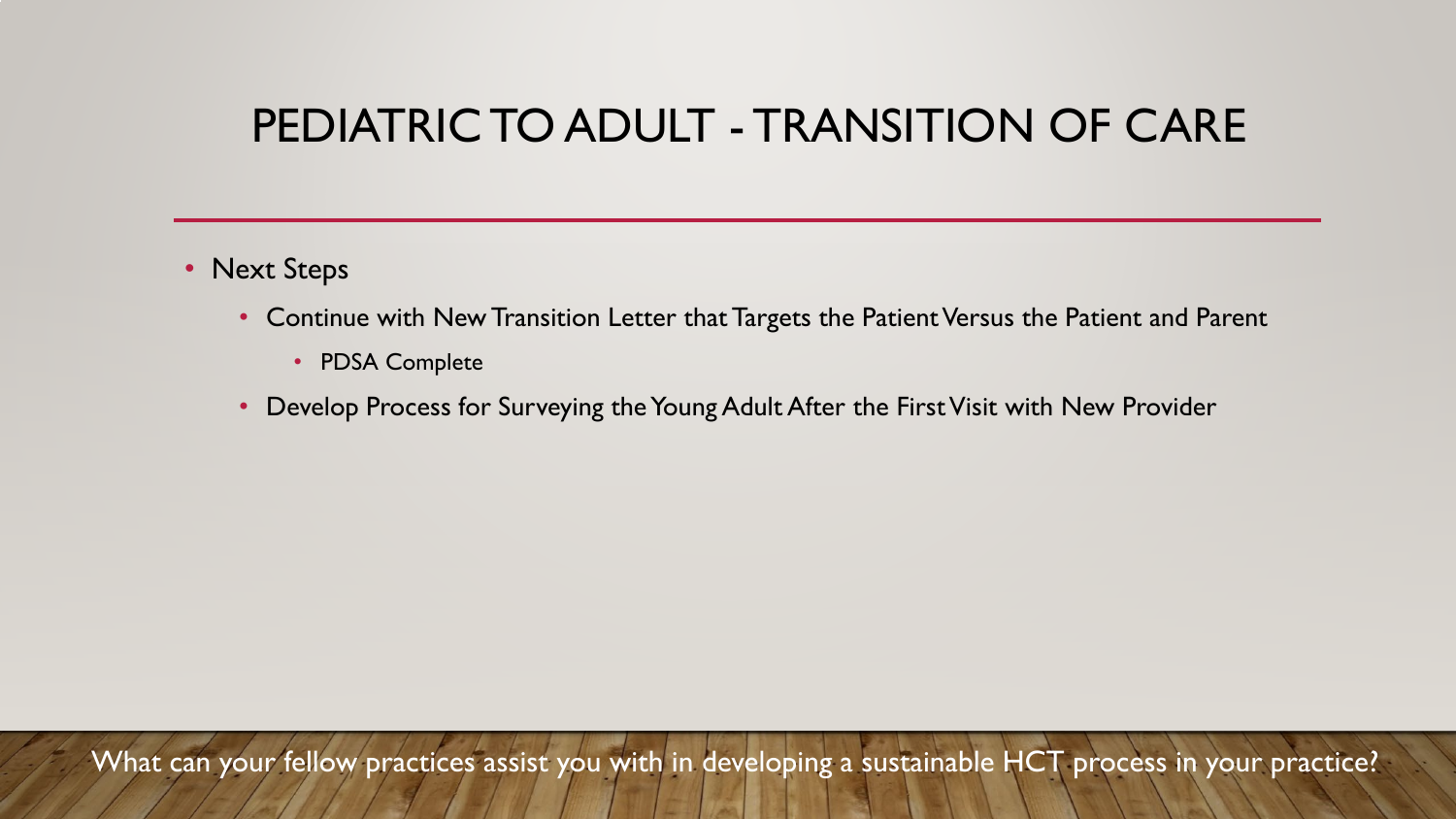## PEDIATRIC TO ADULT - TRANSITION OF CARE

- Next Steps
	- Continue with New Transition Letter that Targets the Patient Versus the Patient and Parent
		- PDSA Complete
	- Develop Process for Surveying the Young Adult After the First Visit with New Provider

What can your fellow practices assist you with in developing a sustainable HCT process in your practice?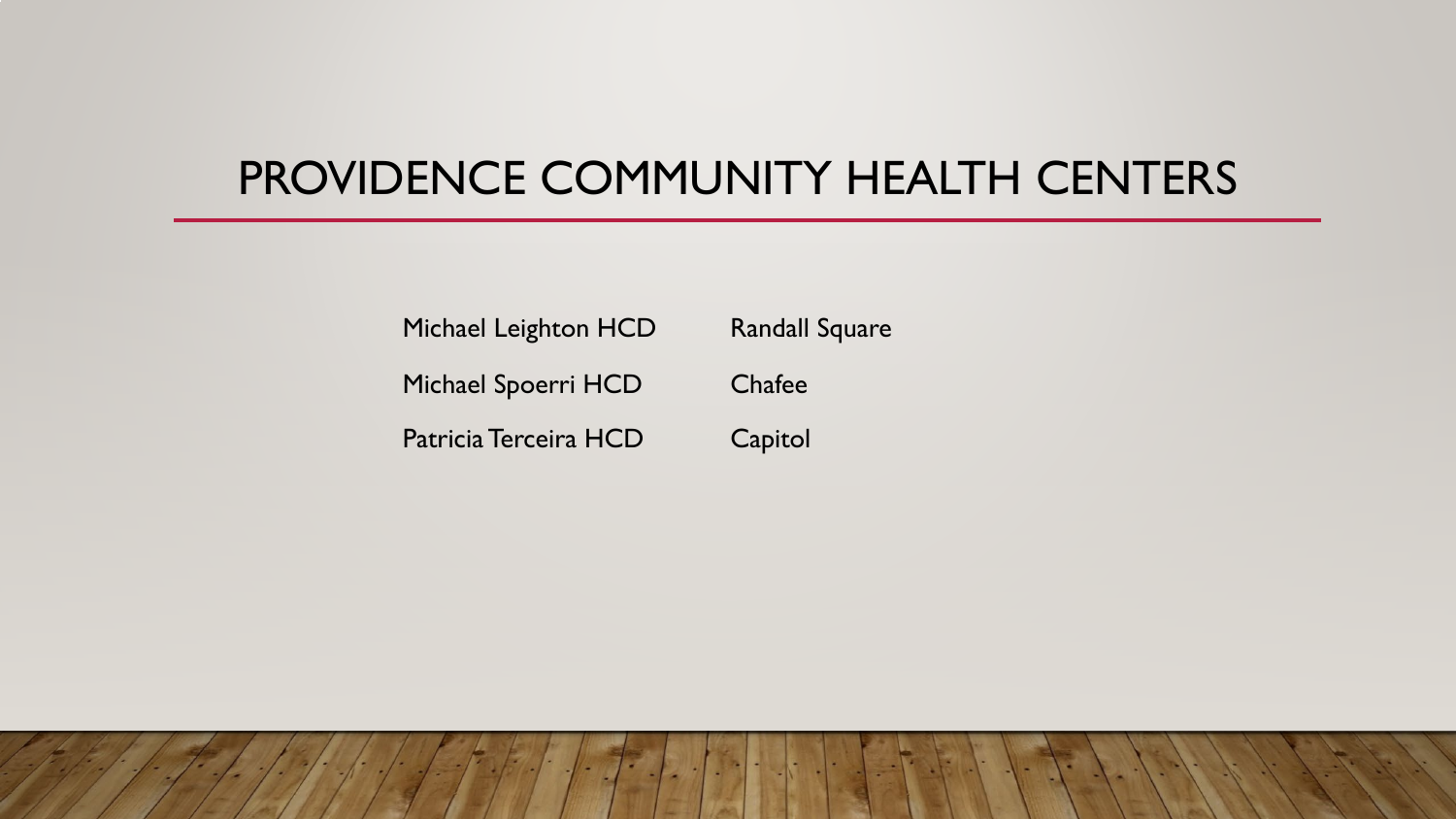## PROVIDENCE COMMUNITY HEALTH CENTERS

Michael Leighton HCD Randall Square Michael Spoerri HCD Chafee Patricia Terceira HCD Capitol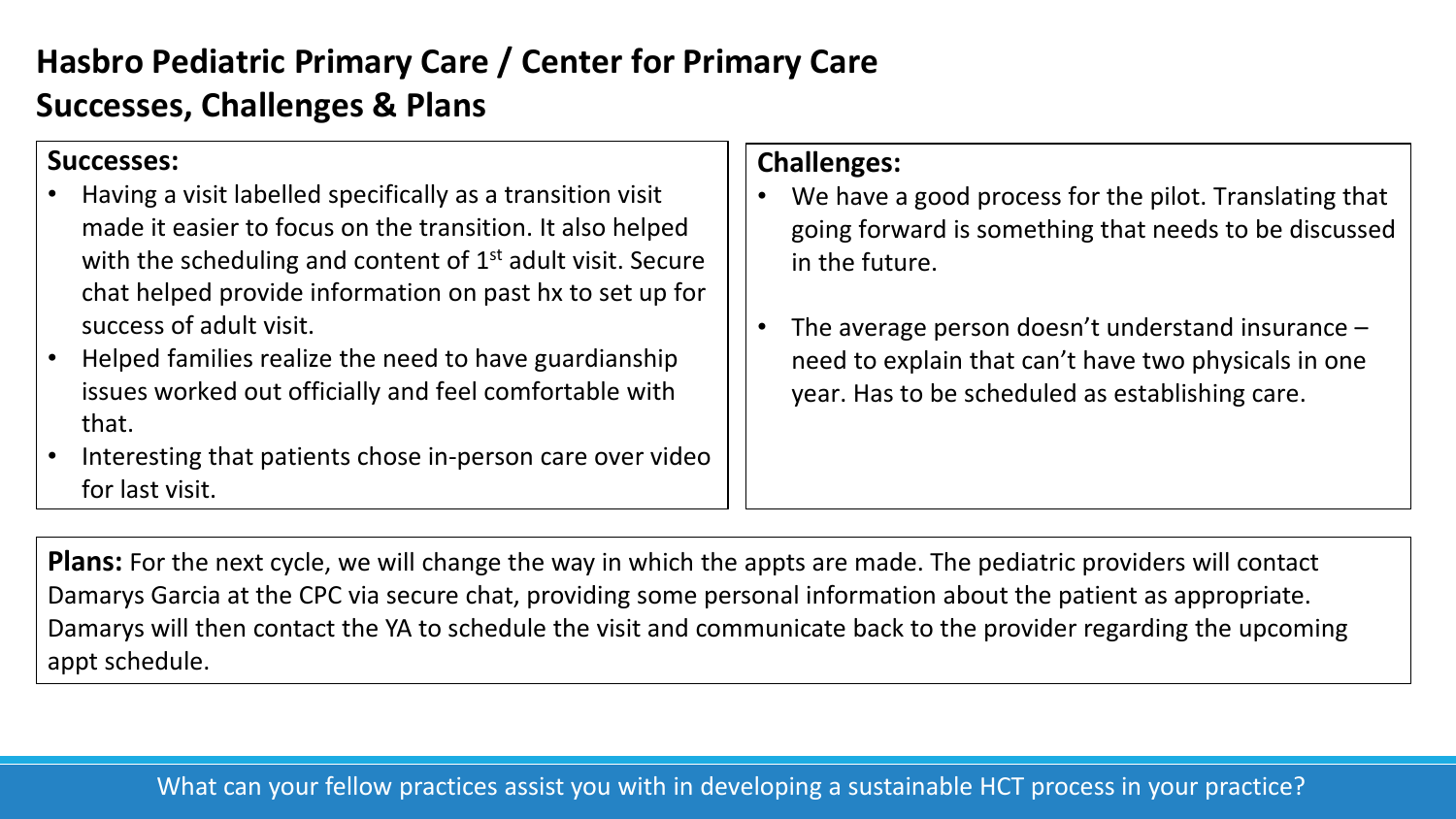## **Hasbro Pediatric Primary Care / Center for Primary Care Successes, Challenges & Plans**

#### **Successes:**

- Having a visit labelled specifically as a transition visit made it easier to focus on the transition. It also helped with the scheduling and content of  $1<sup>st</sup>$  adult visit. Secure chat helped provide information on past hx to set up for success of adult visit.
- Helped families realize the need to have guardianship issues worked out officially and feel comfortable with that.
- Interesting that patients chose in-person care over video for last visit.

#### **Challenges:**

- We have a good process for the pilot. Translating that going forward is something that needs to be discussed in the future.
- The average person doesn't understand insurance  $$ need to explain that can't have two physicals in one year. Has to be scheduled as establishing care.

**Plans:** For the next cycle, we will change the way in which the appts are made. The pediatric providers will contact Damarys Garcia at the CPC via secure chat, providing some personal information about the patient as appropriate. Damarys will then contact the YA to schedule the visit and communicate back to the provider regarding the upcoming appt schedule.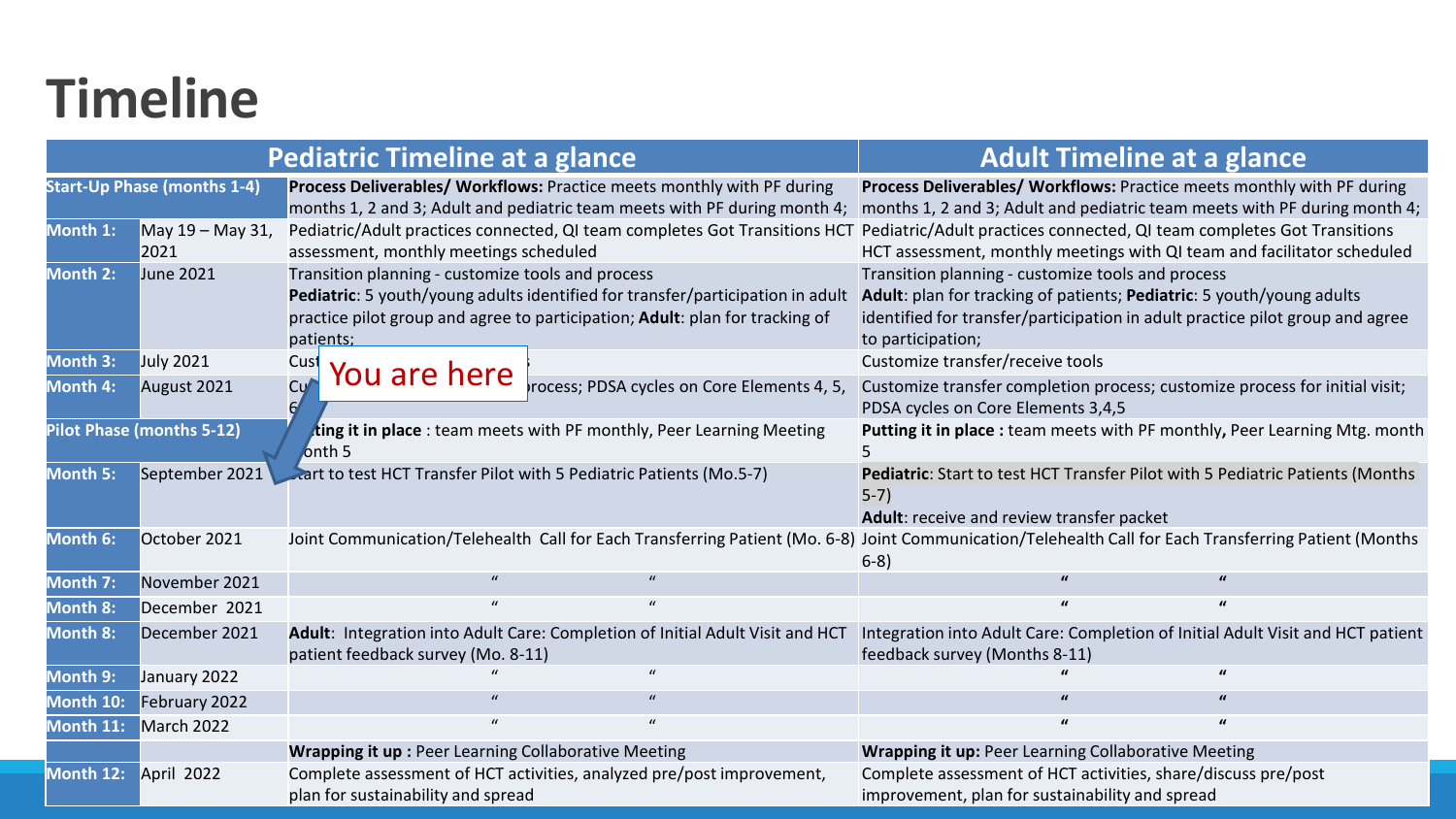## **Timeline**

| <b>Pediatric Timeline at a glance</b> |                                    |                                                                   |                                                                                                                                                                | <b>Adult Timeline at a glance</b>                                                                                                                                                                                                |                                                                                |
|---------------------------------------|------------------------------------|-------------------------------------------------------------------|----------------------------------------------------------------------------------------------------------------------------------------------------------------|----------------------------------------------------------------------------------------------------------------------------------------------------------------------------------------------------------------------------------|--------------------------------------------------------------------------------|
|                                       | <b>Start-Up Phase (months 1-4)</b> |                                                                   | Process Deliverables/ Workflows: Practice meets monthly with PF during<br>months 1, 2 and 3; Adult and pediatric team meets with PF during month 4;            | Process Deliverables/ Workflows: Practice meets monthly with PF during                                                                                                                                                           | months 1, 2 and 3; Adult and pediatric team meets with PF during month 4;      |
| Month 1:                              | May 19 - May 31,<br>2021           | assessment, monthly meetings scheduled                            | Pediatric/Adult practices connected, QI team completes Got Transitions HCT                                                                                     | Pediatric/Adult practices connected, QI team completes Got Transitions<br>HCT assessment, monthly meetings with QI team and facilitator scheduled                                                                                |                                                                                |
| Month 2:                              | <b>June 2021</b>                   | Transition planning - customize tools and process<br>patients:    | Pediatric: 5 youth/young adults identified for transfer/participation in adult<br>practice pilot group and agree to participation; Adult: plan for tracking of | Transition planning - customize tools and process<br>Adult: plan for tracking of patients; Pediatric: 5 youth/young adults<br>identified for transfer/participation in adult practice pilot group and agree<br>to participation; |                                                                                |
| Month 3:                              | <b>July 2021</b>                   | Cust                                                              |                                                                                                                                                                | Customize transfer/receive tools                                                                                                                                                                                                 |                                                                                |
| Month 4:                              | August 2021                        | You are here<br>C <sub>Y</sub>                                    | rocess; PDSA cycles on Core Elements 4, 5,                                                                                                                     | Customize transfer completion process; customize process for initial visit;<br>PDSA cycles on Core Elements 3,4,5                                                                                                                |                                                                                |
|                                       | <b>Pilot Phase (months 5-12)</b>   | onth <sub>5</sub>                                                 | ting it in place : team meets with PF monthly, Peer Learning Meeting                                                                                           |                                                                                                                                                                                                                                  | Putting it in place : team meets with PF monthly, Peer Learning Mtg. month     |
| Month 5:                              | September 2021                     | art to test HCT Transfer Pilot with 5 Pediatric Patients (Mo.5-7) |                                                                                                                                                                | Pediatric: Start to test HCT Transfer Pilot with 5 Pediatric Patients (Months<br>$5-7)$<br>Adult: receive and review transfer packet                                                                                             |                                                                                |
| Month 6:                              | October 2021                       |                                                                   | Joint Communication/Telehealth Call for Each Transferring Patient (Mo. 6-8) Joint Communication/Telehealth Call for Each Transferring Patient (Months          | $6-8)$                                                                                                                                                                                                                           |                                                                                |
| Month 7:                              | November 2021                      |                                                                   |                                                                                                                                                                |                                                                                                                                                                                                                                  |                                                                                |
| Month 8:                              | December 2021                      | $\mathbf{u}$                                                      | $\boldsymbol{u}$                                                                                                                                               | $\mathbf{u}$                                                                                                                                                                                                                     |                                                                                |
| <b>Month 8:</b>                       | December 2021                      | patient feedback survey (Mo. 8-11)                                | Adult: Integration into Adult Care: Completion of Initial Adult Visit and HCT                                                                                  | feedback survey (Months 8-11)                                                                                                                                                                                                    | Integration into Adult Care: Completion of Initial Adult Visit and HCT patient |
| Month 9:                              | January 2022                       |                                                                   |                                                                                                                                                                |                                                                                                                                                                                                                                  |                                                                                |
| Month 10:                             | February 2022                      |                                                                   |                                                                                                                                                                |                                                                                                                                                                                                                                  |                                                                                |
| Month 11:                             | March 2022                         | $\mathbf{u}$                                                      | $\mathbf{u}$                                                                                                                                                   | $\mathbf{u}$                                                                                                                                                                                                                     |                                                                                |
|                                       |                                    | <b>Wrapping it up: Peer Learning Collaborative Meeting</b>        |                                                                                                                                                                | <b>Wrapping it up: Peer Learning Collaborative Meeting</b>                                                                                                                                                                       |                                                                                |
| Month 12:                             | April 2022                         | plan for sustainability and spread                                | Complete assessment of HCT activities, analyzed pre/post improvement,                                                                                          | Complete assessment of HCT activities, share/discuss pre/post<br>improvement, plan for sustainability and spread                                                                                                                 |                                                                                |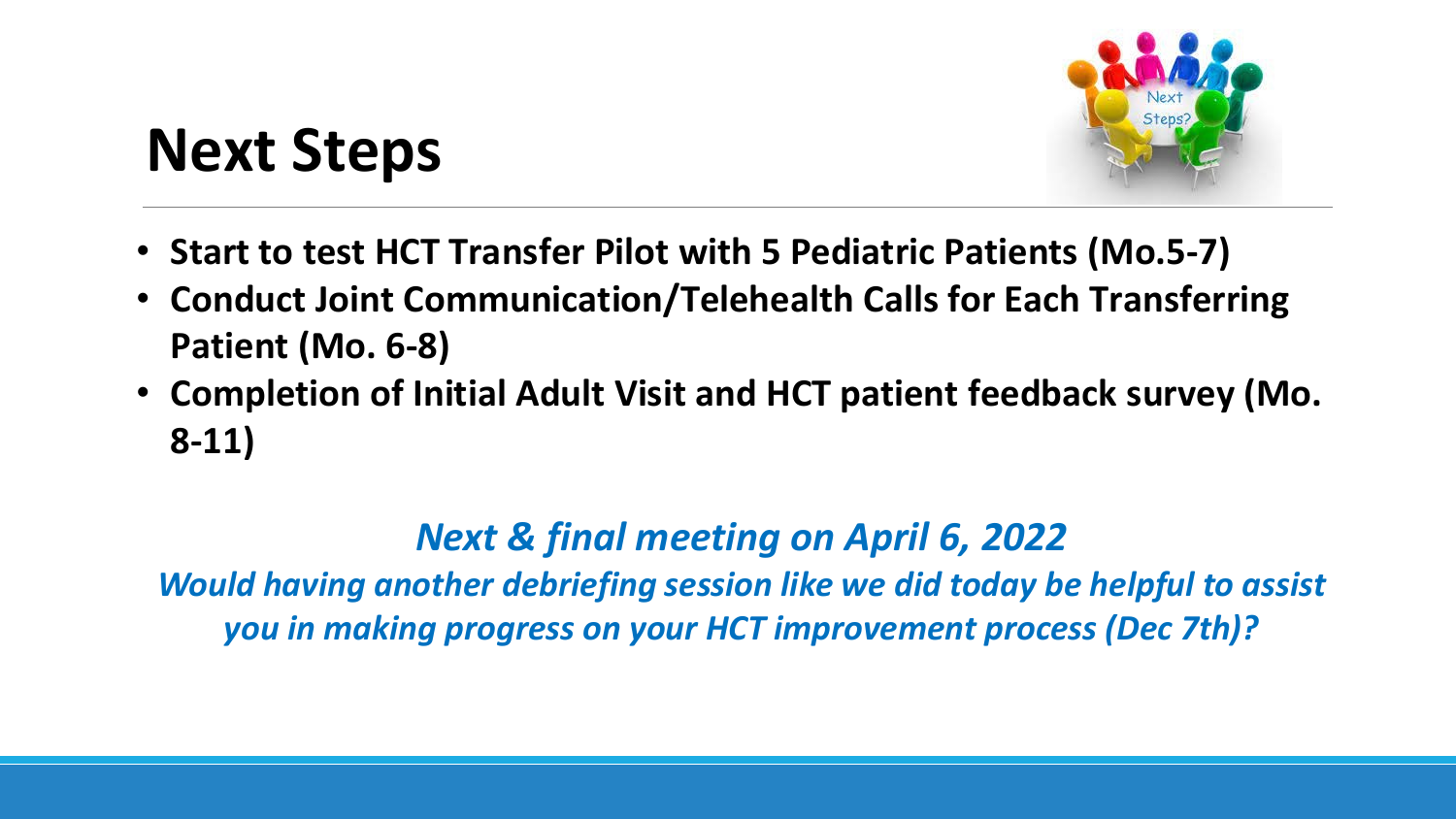## **Next Steps**

- **Start to test HCT Transfer Pilot with 5 Pediatric Patients (Mo.5-7)**
- **Conduct Joint Communication/Telehealth Calls for Each Transferring Patient (Mo. 6-8)**
- **Completion of Initial Adult Visit and HCT patient feedback survey (Mo. 8-11)**

## *Next & final meeting on April 6, 2022*

*Would having another debriefing session like we did today be helpful to assist you in making progress on your HCT improvement process (Dec 7th)?*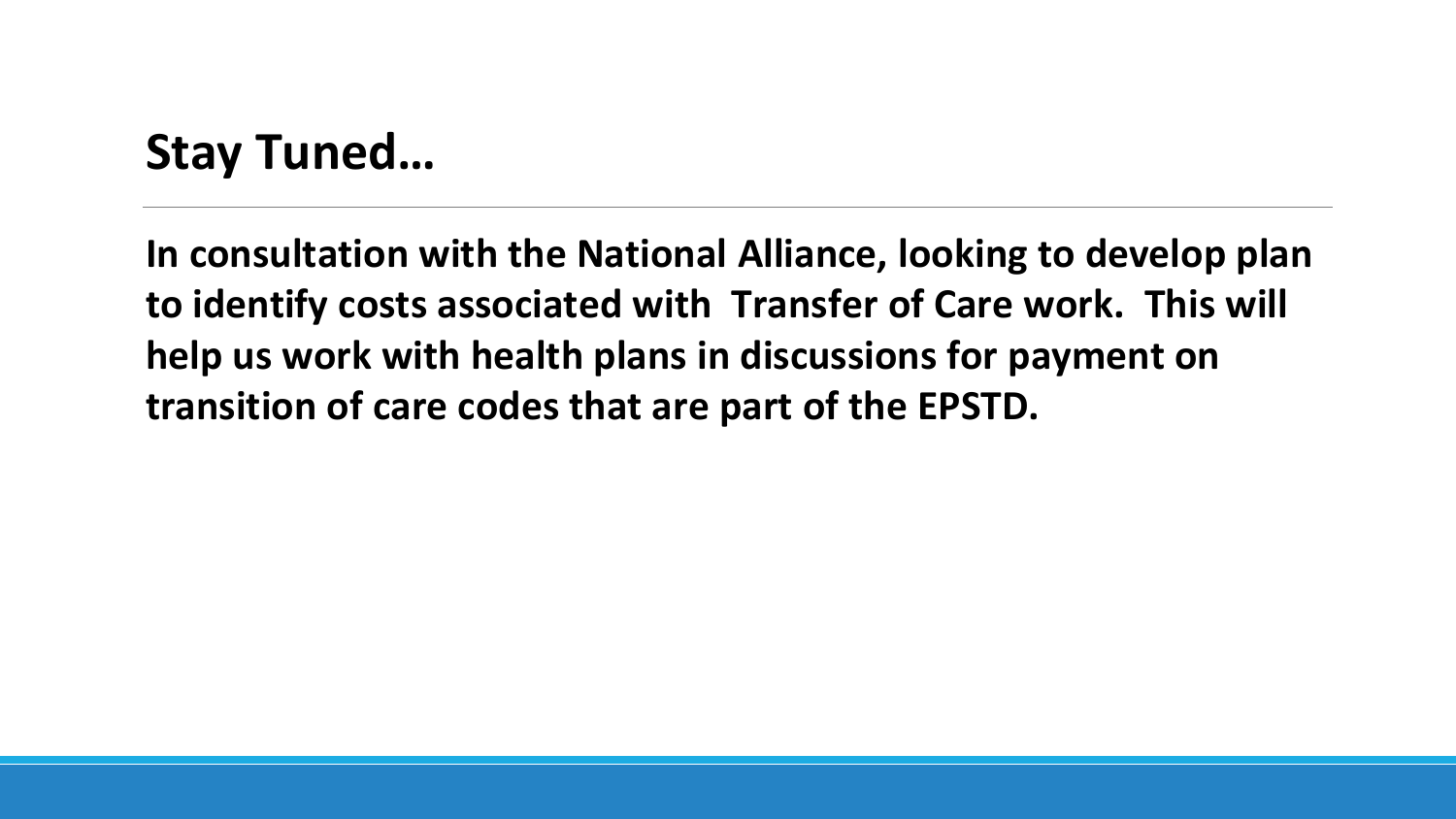## **Stay Tuned…**

**In consultation with the National Alliance, looking to develop plan to identify costs associated with Transfer of Care work. This will help us work with health plans in discussions for payment on transition of care codes that are part of the EPSTD.**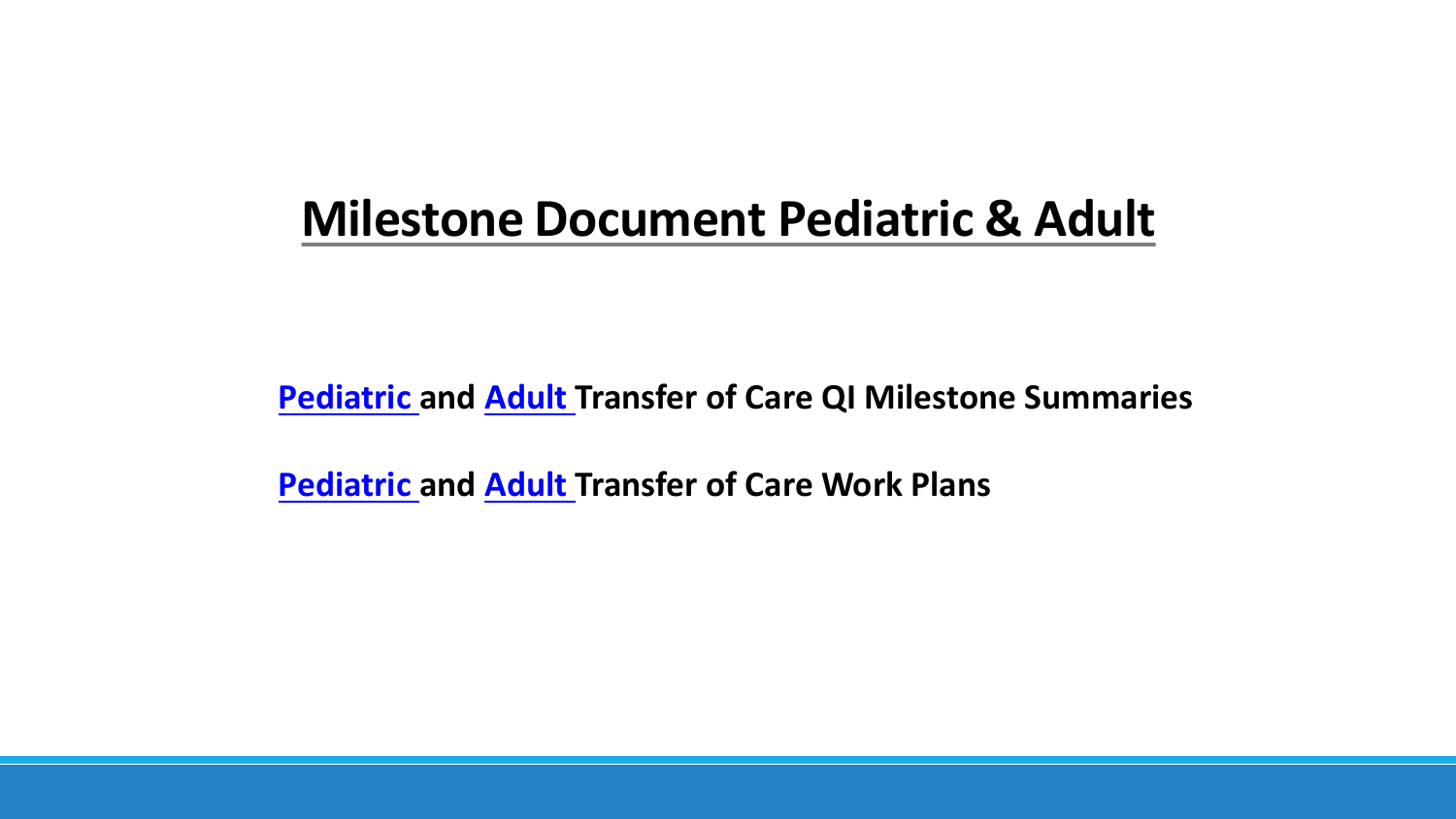## **Milestone Document Pediatric & Adult**

**Pediatric and Adult Transfer of Care QI Milestone Summaries**

**Pediatric and Adult Transfer of Care Work Plans**